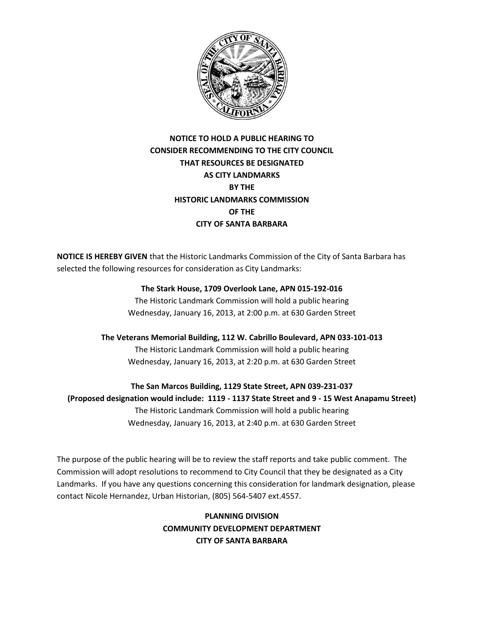

## **NOTICE TO HOLD A PUBLIC HEARING TO CONSIDER RECOMMENDING TO THE CITY COUNCIL THAT RESOURCES BE DESIGNATED AS CITY LANDMARKS BY THE HISTORIC LANDMARKS COMMISSION OF THE CITY OF SANTA BARBARA**

**NOTICE IS HEREBY GIVEN** that the Historic Landmarks Commission of the City of Santa Barbara has selected the following resources for consideration as City Landmarks:

## **The Stark House, 1709 Overlook Lane, APN 015-192-016**

The Historic Landmark Commission will hold a public hearing Wednesday, January 16, 2013, at 2:00 p.m. at 630 Garden Street

**The Veterans Memorial Building, 112 W. Cabrillo Boulevard, APN 033-101-013** The Historic Landmark Commission will hold a public hearing Wednesday, January 16, 2013, at 2:20 p.m. at 630 Garden Street

**The San Marcos Building, 1129 State Street, APN 039-231-037 (Proposed designation would include: 1119 - 1137 State Street and 9 - 15 West Anapamu Street)** The Historic Landmark Commission will hold a public hearing Wednesday, January 16, 2013, at 2:40 p.m. at 630 Garden Street

The purpose of the public hearing will be to review the staff reports and take public comment. The Commission will adopt resolutions to recommend to City Council that they be designated as a City Landmarks. If you have any questions concerning this consideration for landmark designation, please contact Nicole Hernandez, Urban Historian, (805) 564-5407 ext.4557.

> **PLANNING DIVISION COMMUNITY DEVELOPMENT DEPARTMENT CITY OF SANTA BARBARA**